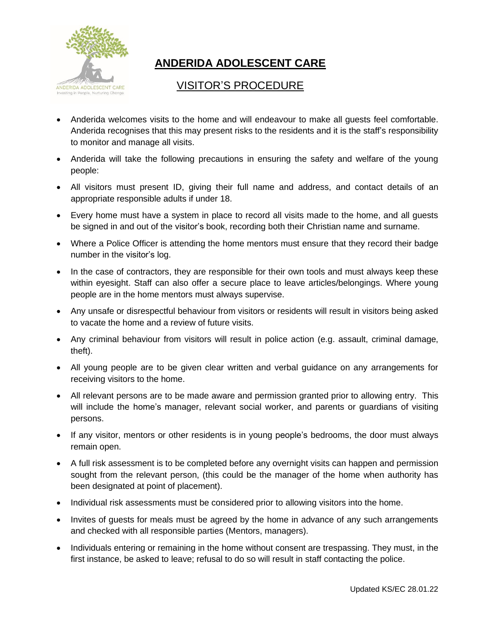

## **ANDERIDA ADOLESCENT CARE**

## VISITOR'S PROCEDURE

- Anderida welcomes visits to the home and will endeavour to make all guests feel comfortable. Anderida recognises that this may present risks to the residents and it is the staff's responsibility to monitor and manage all visits.
- Anderida will take the following precautions in ensuring the safety and welfare of the young people:
- All visitors must present ID, giving their full name and address, and contact details of an appropriate responsible adults if under 18.
- Every home must have a system in place to record all visits made to the home, and all guests be signed in and out of the visitor's book, recording both their Christian name and surname.
- Where a Police Officer is attending the home mentors must ensure that they record their badge number in the visitor's log.
- In the case of contractors, they are responsible for their own tools and must always keep these within eyesight. Staff can also offer a secure place to leave articles/belongings. Where young people are in the home mentors must always supervise.
- Any unsafe or disrespectful behaviour from visitors or residents will result in visitors being asked to vacate the home and a review of future visits.
- Any criminal behaviour from visitors will result in police action (e.g. assault, criminal damage, theft).
- All young people are to be given clear written and verbal guidance on any arrangements for receiving visitors to the home.
- All relevant persons are to be made aware and permission granted prior to allowing entry. This will include the home's manager, relevant social worker, and parents or guardians of visiting persons.
- If any visitor, mentors or other residents is in young people's bedrooms, the door must always remain open.
- A full risk assessment is to be completed before any overnight visits can happen and permission sought from the relevant person, (this could be the manager of the home when authority has been designated at point of placement).
- Individual risk assessments must be considered prior to allowing visitors into the home.
- Invites of guests for meals must be agreed by the home in advance of any such arrangements and checked with all responsible parties (Mentors, managers).
- Individuals entering or remaining in the home without consent are trespassing. They must, in the first instance, be asked to leave; refusal to do so will result in staff contacting the police.